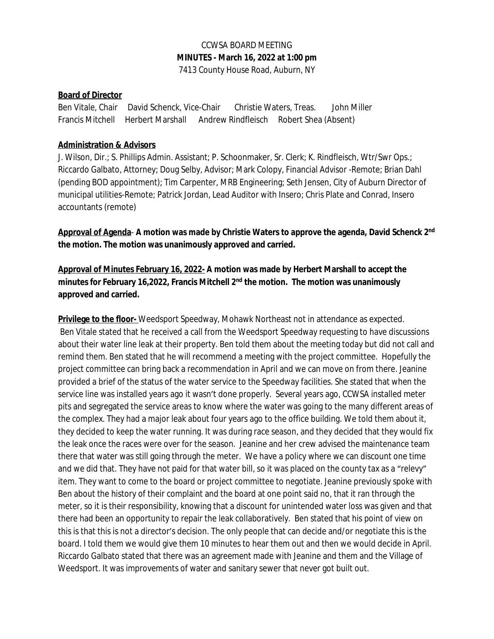# CCWSA BOARD MEETING **MINUTES - March 16, 2022 at 1:00 pm**

#### 7413 County House Road, Auburn, NY

#### **Board of Director**

Ben Vitale, Chair David Schenck, Vice-Chair Christie Waters, Treas. John Miller Francis Mitchell Herbert Marshall Andrew Rindfleisch Robert Shea (Absent)

#### **Administration & Advisors**

J. Wilson, Dir.; S. Phillips Admin. Assistant; P. Schoonmaker, Sr. Clerk; K. Rindfleisch, Wtr/Swr Ops.; Riccardo Galbato, Attorney; Doug Selby, Advisor; Mark Colopy, Financial Advisor -Remote; Brian Dahl (pending BOD appointment); Tim Carpenter, MRB Engineering; Seth Jensen, City of Auburn Director of municipal utilities-Remote; Patrick Jordan, Lead Auditor with Insero; Chris Plate and Conrad, Insero accountants (remote)

**Approval of Agenda**- **A motion was made by Christie Waters to approve the agenda, David Schenck 2nd the motion. The motion was unanimously approved and carried.**

**Approval of Minutes February 16, 2022- A motion was made by Herbert Marshall to accept the minutes for February 16,2022, Francis Mitchell 2nd the motion. The motion was unanimously approved and carried.** 

**Privilege to the floor-** Weedsport Speedway, Mohawk Northeast not in attendance as expected. Ben Vitale stated that he received a call from the Weedsport Speedway requesting to have discussions about their water line leak at their property. Ben told them about the meeting today but did not call and remind them. Ben stated that he will recommend a meeting with the project committee. Hopefully the project committee can bring back a recommendation in April and we can move on from there. Jeanine provided a brief of the status of the water service to the Speedway facilities. She stated that when the service line was installed years ago it wasn't done properly. Several years ago, CCWSA installed meter pits and segregated the service areas to know where the water was going to the many different areas of the complex. They had a major leak about four years ago to the office building. We told them about it, they decided to keep the water running. It was during race season, and they decided that they would fix the leak once the races were over for the season. Jeanine and her crew advised the maintenance team there that water was still going through the meter. We have a policy where we can discount one time and we did that. They have not paid for that water bill, so it was placed on the county tax as a "relevy" item. They want to come to the board or project committee to negotiate. Jeanine previously spoke with Ben about the history of their complaint and the board at one point said no, that it ran through the meter, so it is their responsibility, knowing that a discount for unintended water loss was given and that there had been an opportunity to repair the leak collaboratively. Ben stated that his point of view on this is that this is not a director's decision. The only people that can decide and/or negotiate this is the board. I told them we would give them 10 minutes to hear them out and then we would decide in April. Riccardo Galbato stated that there was an agreement made with Jeanine and them and the Village of Weedsport. It was improvements of water and sanitary sewer that never got built out.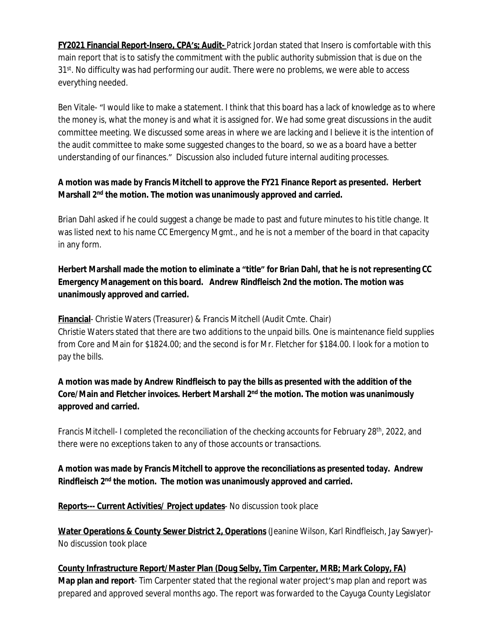**FY2021 Financial Report-Insero, CPA's; Audit-** Patrick Jordan stated that Insero is comfortable with this main report that is to satisfy the commitment with the public authority submission that is due on the 31<sup>st</sup>. No difficulty was had performing our audit. There were no problems, we were able to access everything needed.

Ben Vitale- "I would like to make a statement. I think that this board has a lack of knowledge as to where the money is, what the money is and what it is assigned for. We had some great discussions in the audit committee meeting. We discussed some areas in where we are lacking and I believe it is the intention of the audit committee to make some suggested changes to the board, so we as a board have a better understanding of our finances." Discussion also included future internal auditing processes.

## **A motion was made by Francis Mitchell to approve the FY21 Finance Report as presented. Herbert Marshall 2nd the motion. The motion was unanimously approved and carried.**

Brian Dahl asked if he could suggest a change be made to past and future minutes to his title change. It was listed next to his name CC Emergency Mgmt., and he is not a member of the board in that capacity in any form.

# **Herbert Marshall made the motion to eliminate a "title" for Brian Dahl, that he is not representing CC Emergency Management on this board. Andrew Rindfleisch 2nd the motion. The motion was unanimously approved and carried.**

**Financial**- Christie Waters (Treasurer) & Francis Mitchell (Audit Cmte. Chair) Christie Waters stated that there are two additions to the unpaid bills. One is maintenance field supplies from Core and Main for \$1824.00; and the second is for Mr. Fletcher for \$184.00. I look for a motion to pay the bills.

## **A motion was made by Andrew Rindfleisch to pay the bills as presented with the addition of the Core/Main and Fletcher invoices. Herbert Marshall 2nd the motion. The motion was unanimously approved and carried.**

Francis Mitchell- I completed the reconciliation of the checking accounts for February 28<sup>th</sup>, 2022, and there were no exceptions taken to any of those accounts or transactions.

#### **A motion was made by Francis Mitchell to approve the reconciliations as presented today. Andrew Rindfleisch 2nd the motion. The motion was unanimously approved and carried.**

**Reports--- Current Activities/ Project updates**- No discussion took place

**Water Operations & County Sewer District 2, Operations** (Jeanine Wilson, Karl Rindfleisch, Jay Sawyer)- No discussion took place

**County Infrastructure Report/Master Plan (Doug Selby, Tim Carpenter, MRB; Mark Colopy, FA) Map plan and report**- Tim Carpenter stated that the regional water project's map plan and report was prepared and approved several months ago. The report was forwarded to the Cayuga County Legislator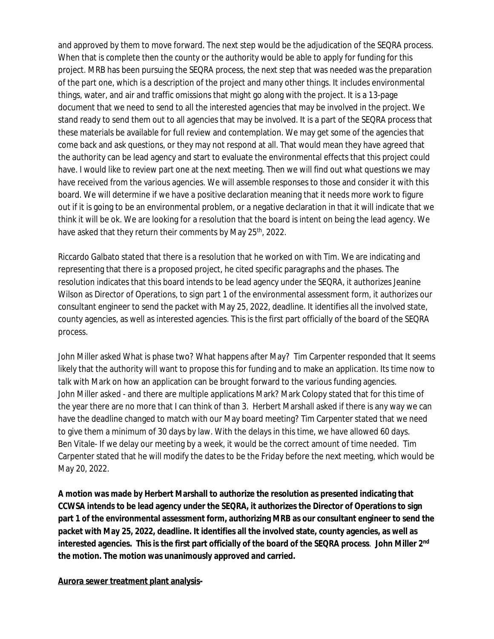and approved by them to move forward. The next step would be the adjudication of the SEQRA process. When that is complete then the county or the authority would be able to apply for funding for this project. MRB has been pursuing the SEQRA process, the next step that was needed was the preparation of the part one, which is a description of the project and many other things. It includes environmental things, water, and air and traffic omissions that might go along with the project. It is a 13-page document that we need to send to all the interested agencies that may be involved in the project. We stand ready to send them out to all agencies that may be involved. It is a part of the SEQRA process that these materials be available for full review and contemplation. We may get some of the agencies that come back and ask questions, or they may not respond at all. That would mean they have agreed that the authority can be lead agency and start to evaluate the environmental effects that this project could have. I would like to review part one at the next meeting. Then we will find out what questions we may have received from the various agencies. We will assemble responses to those and consider it with this board. We will determine if we have a positive declaration meaning that it needs more work to figure out if it is going to be an environmental problem, or a negative declaration in that it will indicate that we think it will be ok. We are looking for a resolution that the board is intent on being the lead agency. We have asked that they return their comments by May 25<sup>th</sup>, 2022.

Riccardo Galbato stated that there is a resolution that he worked on with Tim. We are indicating and representing that there is a proposed project, he cited specific paragraphs and the phases. The resolution indicates that this board intends to be lead agency under the SEQRA, it authorizes Jeanine Wilson as Director of Operations, to sign part 1 of the environmental assessment form, it authorizes our consultant engineer to send the packet with May 25, 2022, deadline. It identifies all the involved state, county agencies, as well as interested agencies. This is the first part officially of the board of the SEQRA process.

John Miller asked What is phase two? What happens after May? Tim Carpenter responded that It seems likely that the authority will want to propose this for funding and to make an application. Its time now to talk with Mark on how an application can be brought forward to the various funding agencies. John Miller asked - and there are multiple applications Mark? Mark Colopy stated that for this time of the year there are no more that I can think of than 3. Herbert Marshall asked if there is any way we can have the deadline changed to match with our May board meeting? Tim Carpenter stated that we need to give them a minimum of 30 days by law. With the delays in this time, we have allowed 60 days. Ben Vitale- If we delay our meeting by a week, it would be the correct amount of time needed. Tim Carpenter stated that he will modify the dates to be the Friday before the next meeting, which would be May 20, 2022.

**A motion was made by Herbert Marshall to authorize the resolution as presented indicating that CCWSA intends to be lead agency under the SEQRA, it authorizes the Director of Operations to sign part 1 of the environmental assessment form, authorizing MRB as our consultant engineer to send the packet with May 25, 2022, deadline. It identifies all the involved state, county agencies, as well as interested agencies. This is the first part officially of the board of the SEQRA process**. **John Miller 2nd the motion. The motion was unanimously approved and carried.** 

**Aurora sewer treatment plant analysis-**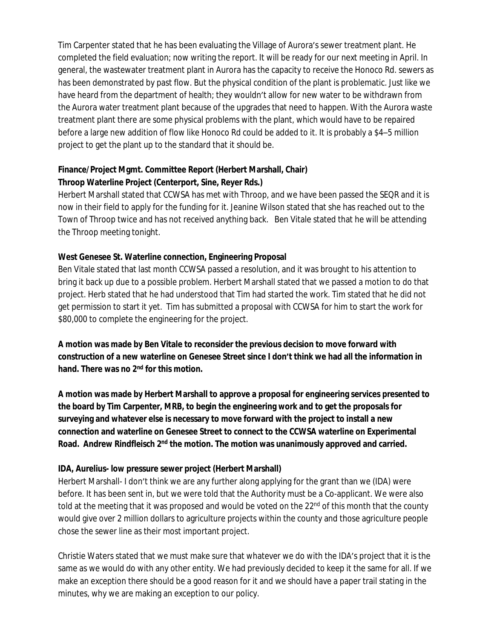Tim Carpenter stated that he has been evaluating the Village of Aurora's sewer treatment plant. He completed the field evaluation; now writing the report. It will be ready for our next meeting in April. In general, the wastewater treatment plant in Aurora has the capacity to receive the Honoco Rd. sewers as has been demonstrated by past flow. But the physical condition of the plant is problematic. Just like we have heard from the department of health; they wouldn't allow for new water to be withdrawn from the Aurora water treatment plant because of the upgrades that need to happen. With the Aurora waste treatment plant there are some physical problems with the plant, which would have to be repaired before a large new addition of flow like Honoco Rd could be added to it. It is probably a \$4–5 million project to get the plant up to the standard that it should be.

## **Finance/Project Mgmt. Committee Report (Herbert Marshall, Chair) Throop Waterline Project (Centerport, Sine, Reyer Rds.)**

Herbert Marshall stated that CCWSA has met with Throop, and we have been passed the SEQR and it is now in their field to apply for the funding for it. Jeanine Wilson stated that she has reached out to the Town of Throop twice and has not received anything back. Ben Vitale stated that he will be attending the Throop meeting tonight.

#### **West Genesee St. Waterline connection, Engineering Proposal**

Ben Vitale stated that last month CCWSA passed a resolution, and it was brought to his attention to bring it back up due to a possible problem. Herbert Marshall stated that we passed a motion to do that project. Herb stated that he had understood that Tim had started the work. Tim stated that he did not get permission to start it yet. Tim has submitted a proposal with CCWSA for him to start the work for \$80,000 to complete the engineering for the project.

**A motion was made by Ben Vitale to reconsider the previous decision to move forward with construction of a new waterline on Genesee Street since I don't think we had all the information in hand. There was no 2nd for this motion.**

**A motion was made by Herbert Marshall to approve a proposal for engineering services presented to the board by Tim Carpenter, MRB, to begin the engineering work and to get the proposals for surveying and whatever else is necessary to move forward with the project to install a new connection and waterline on Genesee Street to connect to the CCWSA waterline on Experimental Road. Andrew Rindfleisch 2nd the motion. The motion was unanimously approved and carried.**

## **IDA, Aurelius- low pressure sewer project (Herbert Marshall)**

Herbert Marshall- I don't think we are any further along applying for the grant than we (IDA) were before. It has been sent in, but we were told that the Authority must be a Co-applicant. We were also told at the meeting that it was proposed and would be voted on the 22<sup>nd</sup> of this month that the county would give over 2 million dollars to agriculture projects within the county and those agriculture people chose the sewer line as their most important project.

Christie Waters stated that we must make sure that whatever we do with the IDA's project that it is the same as we would do with any other entity. We had previously decided to keep it the same for all. If we make an exception there should be a good reason for it and we should have a paper trail stating in the minutes, why we are making an exception to our policy.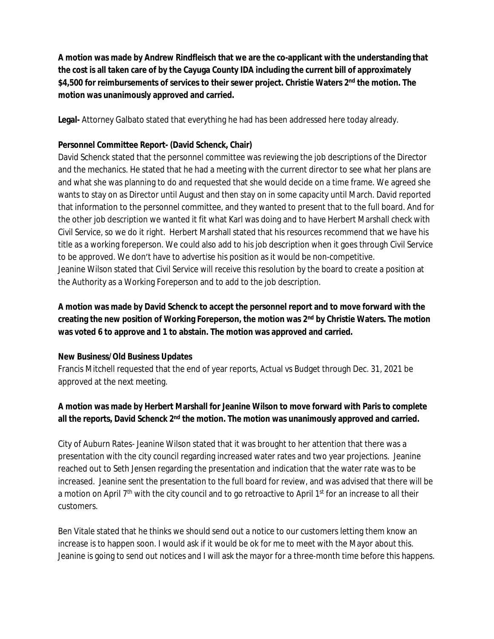**A motion was made by Andrew Rindfleisch that we are the co-applicant with the understanding that the cost is all taken care of by the Cayuga County IDA including the current bill of approximately \$4,500 for reimbursements of services to their sewer project. Christie Waters 2nd the motion. The motion was unanimously approved and carried.** 

**Legal-** Attorney Galbato stated that everything he had has been addressed here today already.

#### **Personnel Committee Report- (David Schenck, Chair)**

David Schenck stated that the personnel committee was reviewing the job descriptions of the Director and the mechanics. He stated that he had a meeting with the current director to see what her plans are and what she was planning to do and requested that she would decide on a time frame. We agreed she wants to stay on as Director until August and then stay on in some capacity until March. David reported that information to the personnel committee, and they wanted to present that to the full board. And for the other job description we wanted it fit what Karl was doing and to have Herbert Marshall check with Civil Service, so we do it right. Herbert Marshall stated that his resources recommend that we have his title as a working foreperson. We could also add to his job description when it goes through Civil Service to be approved. We don't have to advertise his position as it would be non-competitive. Jeanine Wilson stated that Civil Service will receive this resolution by the board to create a position at the Authority as a Working Foreperson and to add to the job description.

**A motion was made by David Schenck to accept the personnel report and to move forward with the creating the new position of Working Foreperson, the motion was 2nd by Christie Waters. The motion was voted 6 to approve and 1 to abstain. The motion was approved and carried.**

#### **New Business/Old Business Updates**

Francis Mitchell requested that the end of year reports, Actual vs Budget through Dec. 31, 2021 be approved at the next meeting.

## **A motion was made by Herbert Marshall for Jeanine Wilson to move forward with Paris to complete all the reports, David Schenck 2nd the motion. The motion was unanimously approved and carried.**

City of Auburn Rates- Jeanine Wilson stated that it was brought to her attention that there was a presentation with the city council regarding increased water rates and two year projections. Jeanine reached out to Seth Jensen regarding the presentation and indication that the water rate was to be increased. Jeanine sent the presentation to the full board for review, and was advised that there will be a motion on April 7<sup>th</sup> with the city council and to go retroactive to April 1<sup>st</sup> for an increase to all their customers.

Ben Vitale stated that he thinks we should send out a notice to our customers letting them know an increase is to happen soon. I would ask if it would be ok for me to meet with the Mayor about this. Jeanine is going to send out notices and I will ask the mayor for a three-month time before this happens.